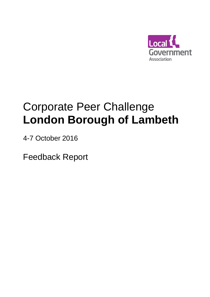

# Corporate Peer Challenge **London Borough of Lambeth**

4-7 October 2016

Feedback Report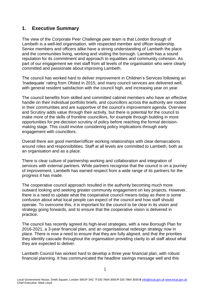# **1. Executive Summary**

The view of the Corporate Peer Challenge peer team is that London Borough of Lambeth is a well-led organisation, with respected member and officer leadership. Senior members and officers alike have a strong understanding of Lambeth the place and the communities living, working and visiting the borough. Lambeth has a sound reputation for its commitment and approach to equalities and community cohesion. As part of our engagement we met staff from all levels of the organisation who were clearly committed and passionate about improving Lambeth.

The council has worked hard to deliver improvement in Children's Services following an 'Inadequate' rating from Ofsted in 2015, and many council services are delivered well, with general resident satisfaction with the council high, and increasing year on year.

The council benefits from skilled and committed cabinet members who have an effective handle on their individual portfolio briefs, and councillors across the authority are rooted in their communities and are supportive of the council's improvement agenda. Overview and Scrutiny adds value through their activity, but there is potential for the council to make more of the skills of frontline councillors, for example through building in more opportunities for pre-decision scrutiny of policy before reaching the formal decisionmaking stage. This could involve considering policy implications through early engagement with councillors.

Overall there are good member/officer working relationships with clear demarcations around roles and responsibilities. Staff at all levels are committed to Lambeth, both as an organisation and as a place.

There is clear culture of partnership working and collaboration and integration of services with external partners. While partners recognise that the council is on a journey of improvement, Lambeth has earned respect from a wide range of its partners for the progress it has made.

The cooperative council approach resulted in the authority becoming much more outward looking and seeking greater community engagement on key projects. However, there is a need to update what the cooperative council means today as there is some confusion about what local people can expect of the council and how staff should operate. To overcome this, it is important for the council to be clear in its vision and strategy going forwards, and to ensure that the cooperative vision is delivered in practice.

The council has recently agreed its high-level strategies, with a new Borough Plan for 2016-2021, a 3-year financial plan, and an organisational redesign strategy now in place. There is now a need to ensure that they are fully aligned, and that the priorities they identify cascade throughout the organisation providing clarity to all staff about what they are expected to deliver.

Lambeth Council has worked hard to develop a three year financial plan, with robust financial planning. It has communicated the headline savings message well and this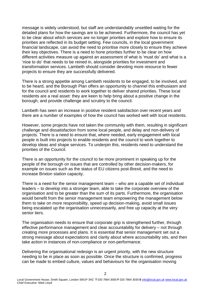message is widely understood, but staff are understandably unsettled waiting for the detailed plans for how the savings are to be achieved. Furthermore, the council has yet to be clear about which services are no longer priorities and explore how to ensure its priorities are reflected in its budget setting. Few councils, in the local government financial landscape, can avoid the need to prioritise more closely to ensure they achieve their key objectives. There is a need to hone priorities further to be clear on how different activities measure up against an assessment of what is 'must do' and what is a 'nice to do' that needs to be reined in, alongside priorities for investment and transformation services. Lambeth should consider devoting more resource to fewer projects to ensure they are successfully delivered.

There is a strong appetite among Lambeth residents to be engaged, to be involved, and to be heard, and the Borough Plan offers an opportunity to channel this enthusiasm and for the council and residents to work together to deliver shared priorities. These local residents are a real asset: they are keen to help bring about a positive change in the borough, and provide challenge and scrutiny to the council.

Lambeth has seen an increase in positive resident satisfaction over recent years and there are a number of examples of how the council has worked well with local residents.

However, some projects have not taken the community with them, resulting in significant challenge and dissatisfaction from some local people, and delay and non-delivery of projects. There is a need to ensure that, where needed, early engagement with local people is built into projects to enable residents and the council to work together to develop ideas and shape services. To underpin this, residents need to understand the priorities of the Council.

There is an opportunity for the council to be more prominent in speaking up for the people of the borough on issues that are controlled by other decision-makers, for example on issues such as the status of EU citizens post-Brexit, and the need to increase Brixton station capacity.

There is a need for the senior management team – who are a capable set of individual leaders – to develop into a stronger team, able to take the corporate overview of the organisation and to be greater than the sum of its parts. Furthermore, the organisation would benefit from the senior management team empowering the management below them to take on more responsibility, speed up decision-making, avoid small issues being escalated up the organisation unnecessarily, and free up capacity at the very senior tiers.

The organisation needs to ensure that corporate grip is strengthened further, through effective performance management and clear accountability for delivery – not through creating more processes and plans. It is essential that senior management set out a strong message about expectations and clarity about where accountability sits, and then take action in instances of non-compliance or non-performance.

Delivering the organisational redesign is an urgent priority, with the new structure needing to be in place as soon as possible. Once the structure is confirmed, progress can be made to embed culture, values and behaviours for the organisation moving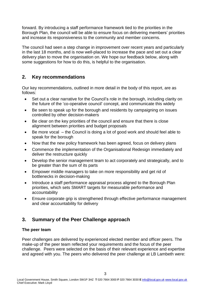forward. By introducing a staff performance framework tied to the priorities in the Borough Plan, the council will be able to ensure focus on delivering members' priorities and increase its responsiveness to the community and member concerns.

The council had seen a step change in improvement over recent years and particularly in the last 18 months, and is now well-placed to increase the pace and set out a clear delivery plan to move the organisation on. We hope our feedback below, along with some suggestions for how to do this, is helpful to the organisation.

# **2. Key recommendations**

Our key recommendations, outlined in more detail in the body of this report, are as follows:

- Set out a clear narrative for the Council's role in the borough, including clarity on the future of the 'co-operative council' concept, and communicate this widely
- Be seen to speak up for the borough and residents by campaigning on issues controlled by other decision-makers
- Be clear on the key priorities of the council and ensure that there is close alignment between priorities and budget proposals
- Be more vocal the Council is doing a lot of good work and should feel able to speak for the borough
- Now that the new policy framework has been agreed, focus on delivery plans
- Commence the implementation of the Organisational Redesign immediately and deliver the restructure quickly
- Develop the senior management team to act corporately and strategically, and to be greater than the sum of its parts
- Empower middle managers to take on more responsibility and get rid of bottlenecks in decision-making
- Introduce a staff performance appraisal process aligned to the Borough Plan priorities, which sets SMART targets for measurable performance and accountability
- Ensure corporate grip is strengthened through effective performance management and clear accountability for delivery

# **3. Summary of the Peer Challenge approach**

# **The peer team**

Peer challenges are delivered by experienced elected member and officer peers. The make-up of the peer team reflected your requirements and the focus of the peer challenge. Peers were selected on the basis of their relevant experience and expertise and agreed with you. The peers who delivered the peer challenge at LB Lambeth were: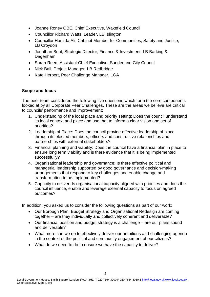- Joanne Roney OBE, Chief Executive, Wakefield Council
- Councillor Richard Watts, Leader, LB Islington
- Councillor Hamida Ali, Cabinet Member for Communities, Safety and Justice, LB Croydon
- Jonathan Bunt, Strategic Director, Finance & Investment, LB Barking & Dagenham
- Sarah Reed, Assistant Chief Executive, Sunderland City Council
- Nick Ball, Project Manager, LB Redbridge
- Kate Herbert, Peer Challenge Manager, LGA

# **Scope and focus**

The peer team considered the following five questions which form the core components looked at by all Corporate Peer Challenges. These are the areas we believe are critical to councils' performance and improvement:

- 1. Understanding of the local place and priority setting: Does the council understand its local context and place and use that to inform a clear vision and set of priorities?
- 2. Leadership of Place: Does the council provide effective leadership of place through its elected members, officers and constructive relationships and partnerships with external stakeholders?
- 3. Financial planning and viability: Does the council have a financial plan in place to ensure long term viability and is there evidence that it is being implemented successfully?
- 4. Organisational leadership and governance: Is there effective political and managerial leadership supported by good governance and decision-making arrangements that respond to key challenges and enable change and transformation to be implemented?
- 5. Capacity to deliver: Is organisational capacity aligned with priorities and does the council influence, enable and leverage external capacity to focus on agreed outcomes?

In addition, you asked us to consider the following questions as part of our work:

- Our Borough Plan, Budget Strategy and Organisational Redesign are coming together – are they individually and collectively coherent and deliverable?
- Our financial position and budget strategy is a challenge are our plans sound and deliverable?
- What more can we do to effectively deliver our ambitious and challenging agenda in the context of the political and community engagement of our citizens?
- What do we need to do to ensure we have the capacity to deliver?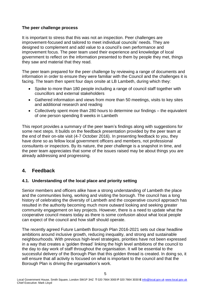## **The peer challenge process**

It is important to stress that this was not an inspection. Peer challenges are improvement-focused and tailored to meet individual councils' needs. They are designed to complement and add value to a council's own performance and improvement focus. The peer team used their experience and knowledge of local government to reflect on the information presented to them by people they met, things they saw and material that they read.

The peer team prepared for the peer challenge by reviewing a range of documents and information in order to ensure they were familiar with the Council and the challenges it is facing. The team then spent four days onsite at LB Lambeth, during which they:

- Spoke to more than 180 people including a range of council staff together with councillors and external stakeholders
- Gathered information and views from more than 50 meetings, visits to key sites and additional research and reading
- Collectively spent more than 280 hours to determine our findings the equivalent of one person spending 8 weeks in Lambeth

This report provides a summary of the peer team's findings along with suggestions for some next steps. It builds on the feedback presentation provided by the peer team at the end of their on-site visit (4-7 October 2016). In presenting feedback to you, they have done so as fellow local government officers and members, not professional consultants or inspectors. By its nature, the peer challenge is a snapshot in time, and the peer team appreciates that some of the issues raised may be about things you are already addressing and progressing.

# **4. Feedback**

# **4.1. Understanding of the local place and priority setting**

Senior members and officers alike have a strong understanding of Lambeth the place and the communities living, working and visiting the borough. The council has a long history of celebrating the diversity of Lambeth and the cooperative council approach has resulted in the authority becoming much more outward looking and seeking greater community engagement on key projects. However, there is a need to update what the cooperative council means today as there is some confusion about what local people can expect of the council and how staff should operate.

The recently agreed Future Lambeth Borough Plan 2016-2021 sets out clear headline ambitions around inclusive growth, reducing inequality, and strong and sustainable neighbourhoods. With previous high-level strategies, priorities have not been expressed in a way that creates a 'golden thread' linking the high level ambitions of the council to the day to day work of staff throughout the organisation. It will be essential to the successful delivery of the Borough Plan that this golden thread is created. In doing so, it will ensure that all activity is focused on what is important to the council and that the Borough Plan is driving the organisation's work.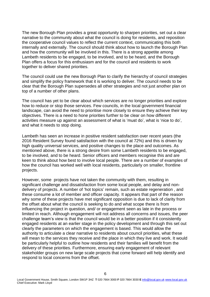The new Borough Plan provides a great opportunity to sharpen priorities, set out a clear narrative to the community about what the council is doing for residents, and reposition the cooperative council values to reflect the current context, communicating this both internally and externally. The council should think about how to launch the Borough Plan and how the community will be involved in this. There is a strong appetite among Lambeth residents to be engaged, to be involved, and to be heard, and the Borough Plan offers a focus for this enthusiasm and for the council and residents to work together to deliver shared priorities.

The council could use the new Borough Plan to clarify the hierarchy of council strategies and simplify the policy framework that it is working to deliver. The council needs to be clear that the Borough Plan supersedes all other strategies and not just another plan on top of a number of other plans.

The council has yet to be clear about which services are no longer priorities and explore how to reduce or stop those services. Few councils, in the local government financial landscape, can avoid the need to prioritise more closely to ensure they achieve their key objectives. There is a need to hone priorities further to be clear on how different activities measure up against an assessment of what is 'must do', what is 'nice to do', and what it needs to stop doing.

Lambeth has seen an increase in positive resident satisfaction over recent years (the 2016 Resident Survey found satisfaction with the council at 72%) and this is driven by high quality universal services, and positive changes to the place and outcomes. As mentioned above, there is a strong desire from some Lambeth residents to be engaged, to be involved, and to be heard. Senior officers and members recognise this and are keen to think about how best to involve local people. There are a number of examples of how the council has worked well with local residents, particularly on smaller, frontline projects.

However, some projects have not taken the community with them, resulting in significant challenge and dissatisfaction from some local people, and delay and nondelivery of projects. A number of 'hot topics' remain, such as estate regeneration , and these consume a lot of member and officer capacity. It appears that part of the reason why some of these projects have met significant opposition is due to lack of clarity from the offset about what the council is seeking to do and what scope there is from influencing the project in question, and/ or engagement seen as late in the process or limited in reach. Although engagement will not address all concerns and issues, the peer challenge team's view is that the council would be in a better position if it consistently engaged residents at an earlier stage in the policy development and through this set out clearly the parameters on which the engagement is based. This would allow the authority to articulate a clear narrative to residents about council priorities, what these will mean to the services they receive and the place in which they live and work. It would be particularly helpful to outline how residents and their families will benefit from the delivery of these priorities. Furthermore, ensuring early engagement of relevant stakeholder groups on new large scale projects that come forward will help identify and respond to local concerns from the offset.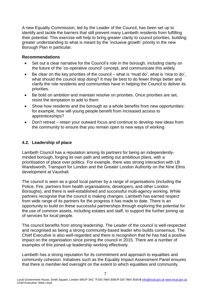A new Equality Commission, led by the Leader of the Council, has been set up to identify and tackle the barriers that still prevent many Lambeth residents from fulfilling their potential. This exercise will help to bring greater clarity to council priorities, building greater understanding to what is meant by the 'inclusive growth' priority in the new Borough Plan in particular.

## **Recommendations**

- Set out a clear narrative for the Council's role in the borough, including clarity on the future of the 'co-operative council' concept, and communicate this widely
- Be clear on the key priorities of the council what is 'must do', what is 'nice to do', what should the council stop doing? It may be best to do fewer things better and clarify the role residents and communities have in helping the Council to deliver its priorities.
- Be bold on ambition and maintain resolve on priorities. Once priorities are set, resist the temptation to add to them
- Show how residents and the borough as a whole benefits from new opportunities: for example, how will young people benefit from increased access to apprenticeships?
- Don't retreat retain your outward focus and continue to develop new ideas from the community to ensure that you remain open to new ways of working

# **4.2. Leadership of place**

Lambeth Council has a reputation among its partners for being an independentlyminded borough, forging its own path and setting out ambitious plans, with a prioritisation of place over politics. For example, there was strong interaction with LB Wandsworth, Transport for London and the Greater London Authority on the Nine Elms development at Vauxhall.

The council is seen as a good local partner by a range of organisations (including the Police, Fire, partners from health organisations, developers, and other London Boroughs), and there is well-established and successful multi-agency working. While partners recognise that the council is making changes, Lambeth has earned respect from wide range of its partners for the progress it has made to date. There is an opportunity to build on these successful partnerships through exploring the potential for the use of common assets, including estates and staff, to support the further joining up of services for local people.

The council benefits from strong leadership. The Leader of the council is well-respected and recognised as being a strong community-based leader who builds consensus. The Chief Executive is also well-regarded and there is recognition that he has had a positive impact on the organisation since joining the council in 2015. There are a number of examples of this joined-up leadership working effectively.

Lambeth has a strong reputation for its commitment and approach to equalities and community cohesion. Initiatives such as the Equality Impact Assessment Panel ensures that there is member-led oversight on the extent to which equalities and community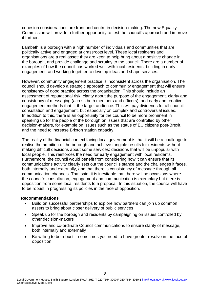cohesion considerations are front and centre in decision-making. The new Equality Commission will provide a further opportunity to test the council's approach and improve it further.

Lambeth is a borough with a high number of individuals and communities that are politically active and engaged at grassroots level. These local residents and organisations are a real asset: they are keen to help bring about a positive change in the borough, and provide challenge and scrutiny to the council. There are a number of examples of how the council has worked well with local residents, building in early engagement, and working together to develop ideas and shape services.

However, community engagement practice is inconsistent across the organisation. The council should develop a strategic approach to community engagement that will ensure consistency of good practice across the organisation. This should include an assessment of reputational risk, clarity about the purpose of the engagement, clarity and consistency of messaging (across both members and officers), and early and creative engagement methods that fit the target audience. This will pay dividends for all council consultation and engagement, but especially on complex and controversial issues. In addition to this, there is an opportunity for the council to be more prominent in speaking up for the people of the borough on issues that are controlled by other decision-makers, for example on issues such as the status of EU citizens post-Brexit, and the need to increase Brixton station capacity.

The reality of the financial context facing local government is that it will be a challenge to realise the ambition of the borough and achieve tangible results for residents without making difficult decisions about some services: decisions that will be unpopular with local people. This reinforces the need for early engagement with local residents. Furthermore, the council would benefit from considering how it can ensure that its communications activity clearly sets out the council's stance and the challenges it faces, both internally and externally, and that there is consistency of message through all communication channels. That said, it is inevitable that there will be occasions where the council's consultation, engagement and communication is exemplary but there is opposition from some local residents to a proposal. In this situation, the council will have to be robust in progressing its policies in the face of opposition.

#### **Recommendations**

- Build on successful partnerships to explore how partners can join up common assets to bring about closer delivery of public services
- Speak up for the borough and residents by campaigning on issues controlled by other decision-makers
- Improve and co-ordinate Council communications to ensure clarity of message, both internally and externally
- Be willing to be robust sometimes you need to have greater resolve in the face of opposition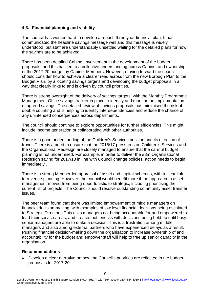## **4.3. Financial planning and viability**

The council has worked hard to develop a robust, three year financial plan. It has communicated the headline savings message well and this message is widely understood, but staff are understandably unsettled waiting for the detailed plans for how the savings are to be achieved.

There has been detailed Cabinet involvement in the development of the budget proposals, and this has led to a collective understanding across Cabinet and ownership of the 2017-20 budget by Cabinet Members. However, moving forward the council should consider how to achieve a clearer read across from the new Borough Plan to the Budget Plan, by allocating savings targets and developing the budget proposals in a way that clearly links to and is driven by council priorities.

There is strong oversight of the delivery of savings targets, with the Monthly Programme Management Office savings tracker in place to identify and monitor the implementation of agreed savings. The detailed review of savings proposals has minimised the risk of double counting and is helping to identify interdependencies and reduce the chance of any unintended consequences across departments.

The council should continue to explore opportunities for further efficiencies. This might include income generation or collaborating with other authorities.

There is a good understanding of the Children's Services position and its direction of travel. There is a need to ensure that the 2016/17 pressures on Children's Services and the Organisational Redesign are closely managed to ensure that the careful budget planning is not undermined. For example, in order to deliver the £8m Organisational Redesign saving for 2017/18 in line with Council change policies, action needs to begin immediately .

There is a strong Member-led appraisal of asset and capital schemes, with a clear link to revenue planning. However, the council would benefit more if the approach to asset management moved from being opportunistic to strategic, including prioritising the current list of projects. The Council should resolve outstanding community asset transfer issues.

The peer team found that there was limited empowerment of middle managers on financial decision-making, with examples of low level financial decisions being escalated to Strategic Directors. This risks managers not being accountable for and empowered to lead their service areas, and creates bottlenecks with decisions being held up until busy senior managers are able to make a decision. This is a frustration among middle managers and also among external partners who have experienced delays as a result. Pushing financial decision-making down the organisation to increase ownership of and accountability for the budget and empower staff will help to free up senior capacity in the organisation.

### **Recommendations**

 Develop a clear narrative on how the Council's priorities are reflected in the budget proposals for 2017-20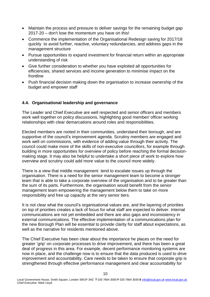- Maintain the process and pressure to deliver savings for the remaining budget gap 2017-20 – don't lose the momentum you have on this!
- Commence the implementation of the Organisational Redesign saving for 2017/18 quickly to avoid further, reactive, voluntary redundancies, and address gaps in the management structure
- Pursue opportunities to expand investment for financial return within an appropriate understanding of risk
- Give further consideration to whether you have exploited all opportunities for efficiencies, shared services and income generation to minimise impact on the frontline
- Push financial decision making down the organisation to increase ownership of the budget and empower staff

## **4.4. Organisational leadership and governance**

The Leader and Chief Executive are well respected and senior officers and members work well together on policy discussions, highlighting good member/ officer working relationships with clear demarcations around roles and responsibilities.

Elected members are rooted in their communities, understand their borough, and are supportive of the council's improvement agenda. Scrutiny members are engaged and work well on commissions, with evidence of adding value through their activity. The council could make more of the skills of non-executive councillors, for example through building in more opportunities for overview of policy before reaching the formal decisionmaking stage. It may also be helpful to undertake a short piece of work to explore how overview and scrutiny could add more value to the council more widely.

There is a view that middle management tend to escalate issues up through the organisation. There is a need for the senior management team to become a stronger team that is able to take a corporate overview of the organisation and to be greater than the sum of its parts. Furthermore, the organisation would benefit from the senior management team empowering the management below them to take on more responsibility and free up capacity at the very senior tiers.

It is not clear what the council's organisational values are, and the layering of priorities on top of priorities creates a lack of focus for what staff are expected to deliver. Internal communications are not yet embedded and there are also gaps and inconsistency in external communications. The effective implementation of a communications plan for the new Borough Plan will be essential to provide clarity for staff about expectations, as well as the narrative for residents mentioned above.

The Chief Executive has been clear about the importance he places on the need for greater 'grip' on corporate processes to drive improvement, and there has been a great deal of progress in this area. For example, decent performance monitoring systems are now in place, and the challenge now is to ensure that the data produced is used to drive improvement and accountability. Care needs to be taken to ensure that corporate grip is strengthened through effective performance management and clear accountability for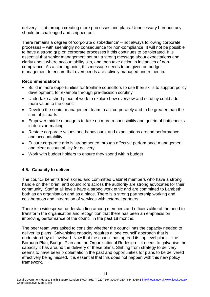delivery – not through creating more processes and plans. Unnecessary bureaucracy should be challenged and stripped out.

There remains a degree of 'corporate disobedience' – not always following corporate processes – with seemingly no consequence for non-compliance. It will not be possible to have a strong grip on corporate processes if this continues to be tolerated. It is essential that senior management set out a strong message about expectations and clarity about where accountability sits, and then take action in instances of noncompliance. As a starting point, this message needs to be given on budget management to ensure that overspends are actively managed and reined in.

## **Recommendations**

- Build in more opportunities for frontline councillors to use their skills to support policy development, for example through pre-decision scrutiny
- Undertake a short piece of work to explore how overview and scrutiny could add more value to the council
- Develop the senior management team to act corporately and to be greater than the sum of its parts
- Empower middle managers to take on more responsibility and get rid of bottlenecks in decision-making
- Restate corporate values and behaviours, and expectations around performance and accountability
- Ensure corporate grip is strengthened through effective performance management and clear accountability for delivery
- Work with budget holders to ensure they spend within budget

# **4.5. Capacity to deliver**

The council benefits from skilled and committed Cabinet members who have a strong handle on their brief, and councillors across the authority are strong advocates for their community. Staff at all levels have a strong work ethic and are committed to Lambeth, both as an organisation and as a place. There is a strong partnership working and collaboration and integration of services with external partners.

There is a widespread understanding among members and officers alike of the need to transform the organisation and recognition that there has been an emphasis on improving performance of the council in the past 18 months.

The peer team was asked to consider whether the council has the capacity needed to deliver its plans. Galvanising capacity requires a 'one council' approach that is understood by all involved. Now that the council has agreed its top level plans – the Borough Plan, Budget Plan and the Organisational Redesign – it needs to galvanise the capacity it has around the delivery of these plans. Shifting from strategy to delivery seems to have been problematic in the past and opportunities for plans to be delivered effectively being missed. It is essential that this does not happen with this new policy framework.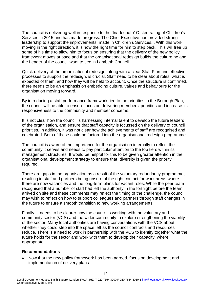The council is delivering well in response to the 'Inadequate' Ofsted rating of Children's Services in 2015 and has made progress. The Chief Executive has provided strong leadership to support the improvements made in Children's Services. . With this work moving in the right direction, it is now the right time for him to step back. This will free up some of his time to allow him to focus on ensuring that the delivery of the new policy framework moves at pace and that the organisational redesign builds the culture he and the Leader of the council want to see in Lambeth Council.

Quick delivery of the organisational redesign, along with a clear Staff Plan and effective processes to support the redesign, is crucial. Staff need to be clear about roles, what is expected of them, and how they will be held to account. Once the structure is confirmed, there needs to be an emphasis on embedding culture, values and behaviours for the organisation moving forward.

By introducing a staff performance framework tied to the priorities in the Borough Plan, the council will be able to ensure focus on delivering members' priorities and increase its responsiveness to the community and member concerns.

It is not clear how the council is harnessing internal talent to develop the future leaders of the organisation, and ensure that staff capacity is focussed on the delivery of council priorities. In addition, it was not clear how the achievements of staff are recognised and celebrated. Both of these could be factored into the organisational redesign programme.

The council is aware of the importance for the organisation internally to reflect the community it serves and needs to pay particular attention to the top tiers within its management structures. It would be helpful for this to be given greater attention in the organisational development strategy to ensure that diversity is given the priority required.

There are gaps in the organisation as a result of the voluntary redundancy programme, resulting in staff and partners being unsure of the right contact for work areas where there are now vacancies and the long-term plans for vacant roles. While the peer team recognised that a number of staff had left the authority in the fortnight before the team arrived on site and these comments may reflect the timing of the challenge, the council may wish to reflect on how to support colleagues and partners through staff changes in the future to ensure a smooth transition to new working arrangements.

Finally, it needs to be clearer how the council is working with the voluntary and community sector (VCS) and the wider community to explore strengthening the viability of the sector. Many local authorities are having conversations with the VCS about whether they could step into the space left as the council contracts and resources reduce. There is a need to work in partnership with the VCS to identify together what the future holds for the sector and work with them to develop their capacity, where appropriate.

#### **Recommendations**

 Now that the new policy framework has been agreed, focus on development and implementation of delivery plans